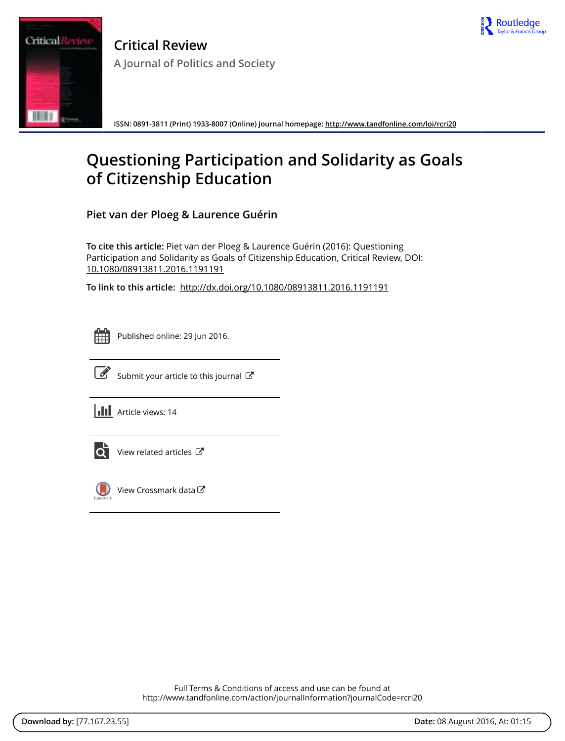



**Critical Review A Journal of Politics and Society**

**ISSN: 0891-3811 (Print) 1933-8007 (Online) Journal homepage:<http://www.tandfonline.com/loi/rcri20>**

# **Questioning Participation and Solidarity as Goals of Citizenship Education**

**Piet van der Ploeg & Laurence Guérin**

**To cite this article:** Piet van der Ploeg & Laurence Guérin (2016): Questioning Participation and Solidarity as Goals of Citizenship Education, Critical Review, DOI: [10.1080/08913811.2016.1191191](http://www.tandfonline.com/action/showCitFormats?doi=10.1080/08913811.2016.1191191)

**To link to this article:** <http://dx.doi.org/10.1080/08913811.2016.1191191>

| - | _ | ۰<br><b>Service Service</b> |
|---|---|-----------------------------|
|   |   |                             |
|   |   |                             |
|   |   |                             |

Published online: 29 Jun 2016.



 $\overline{\mathscr{L}}$  [Submit your article to this journal](http://www.tandfonline.com/action/authorSubmission?journalCode=rcri20&page=instructions)  $\mathbb{Z}$ 

**III** Article views: 14



 $\overrightarrow{Q}$  [View related articles](http://www.tandfonline.com/doi/mlt/10.1080/08913811.2016.1191191)  $\overrightarrow{C}$ 



[View Crossmark data](http://crossmark.crossref.org/dialog/?doi=10.1080/08913811.2016.1191191&domain=pdf&date_stamp=2016-06-29)<sup>で</sup>

Full Terms & Conditions of access and use can be found at <http://www.tandfonline.com/action/journalInformation?journalCode=rcri20>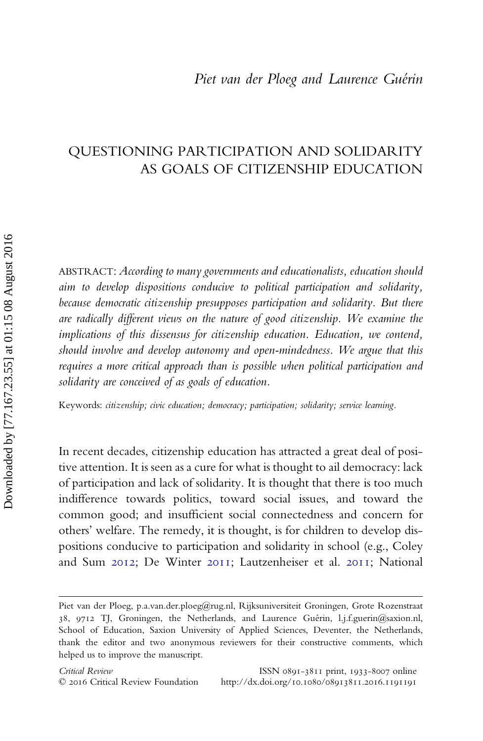# <span id="page-1-0"></span>QUESTIONING PARTICIPATION AND SOLIDARITY AS GOALS OF CITIZENSHIP EDUCATION

ABSTRACT: According to many governments and educationalists, education should aim to develop dispositions conducive to political participation and solidarity, because democratic citizenship presupposes participation and solidarity. But there are radically different views on the nature of good citizenship. We examine the implications of this dissensus for citizenship education. Education, we contend, should involve and develop autonomy and open-mindedness. We argue that this requires a more critical approach than is possible when political participation and solidarity are conceived of as goals of education.

Keywords: citizenship; civic education; democracy; participation; solidarity; service learning.

In recent decades, citizenship education has attracted a great deal of positive attention. It is seen as a cure for what is thought to ail democracy: lack of participation and lack of solidarity. It is thought that there is too much indifference towards politics, toward social issues, and toward the common good; and insufficient social connectedness and concern for others' welfare. The remedy, it is thought, is for children to develop dispositions conducive to participation and solidarity in school (e.g., Coley and Sum 2012; De Winter 2011; Lautzenheiser et al. 2011; National

Piet van der Ploeg, [p.a.van.der.ploeg@rug.nl,](mailto:p.a.van.der.ploeg@rug.nl) Rijksuniversiteit Groningen, Grote Rozenstraat 38, 9712 TJ, Groningen, the Netherlands, and Laurence Guérin, [l.j.f.guerin@saxion.nl,](mailto:l.j.f.guerin@saxion.nl) School of Education, Saxion University of Applied Sciences, Deventer, the Netherlands, thank the editor and two anonymous reviewers for their constructive comments, which helped us to improve the manuscript.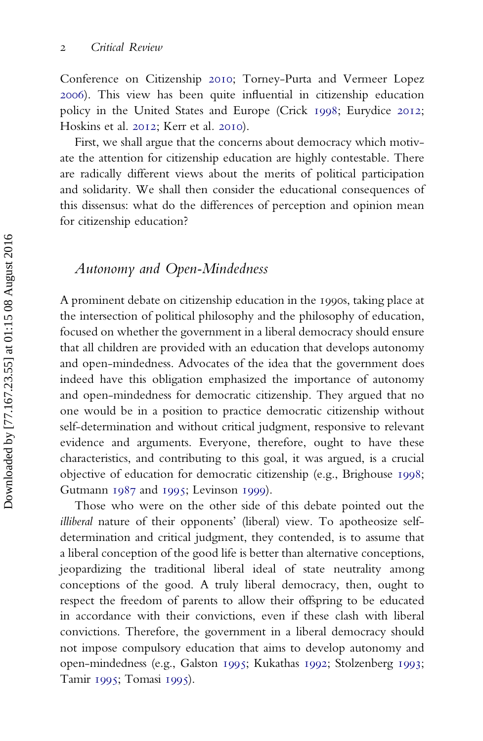<span id="page-2-0"></span>Conference on Citizenship 2010; Torney-Purta and Vermeer Lopez ). This view has been quite influential in citizenship education policy in the United States and Europe (Crick 1998; Eurydice 2012; Hoskins et al.  $2012$ ; Kerr et al.  $2010$ ).

First, we shall argue that the concerns about democracy which motivate the attention for citizenship education are highly contestable. There are radically different views about the merits of political participation and solidarity. We shall then consider the educational consequences of this dissensus: what do the differences of perception and opinion mean for citizenship education?

#### Autonomy and Open-Mindedness

A prominent debate on citizenship education in the 1990s, taking place at the intersection of political philosophy and the philosophy of education, focused on whether the government in a liberal democracy should ensure that all children are provided with an education that develops autonomy and open-mindedness. Advocates of the idea that the government does indeed have this obligation emphasized the importance of autonomy and open-mindedness for democratic citizenship. They argued that no one would be in a position to practice democratic citizenship without self-determination and without critical judgment, responsive to relevant evidence and arguments. Everyone, therefore, ought to have these characteristics, and contributing to this goal, it was argued, is a crucial objective of education for democratic citizenship (e.g., Brighouse 1998; Gutmann 1987 and 1995; Levinson 1999).

Those who were on the other side of this debate pointed out the illiberal nature of their opponents' (liberal) view. To apotheosize selfdetermination and critical judgment, they contended, is to assume that a liberal conception of the good life is better than alternative conceptions, jeopardizing the traditional liberal ideal of state neutrality among conceptions of the good. A truly liberal democracy, then, ought to respect the freedom of parents to allow their offspring to be educated in accordance with their convictions, even if these clash with liberal convictions. Therefore, the government in a liberal democracy should not impose compulsory education that aims to develop autonomy and open-mindedness (e.g., Galston 1995; Kukathas 1992; Stolzenberg 1993; Tamir 1995; Tomasi 1995).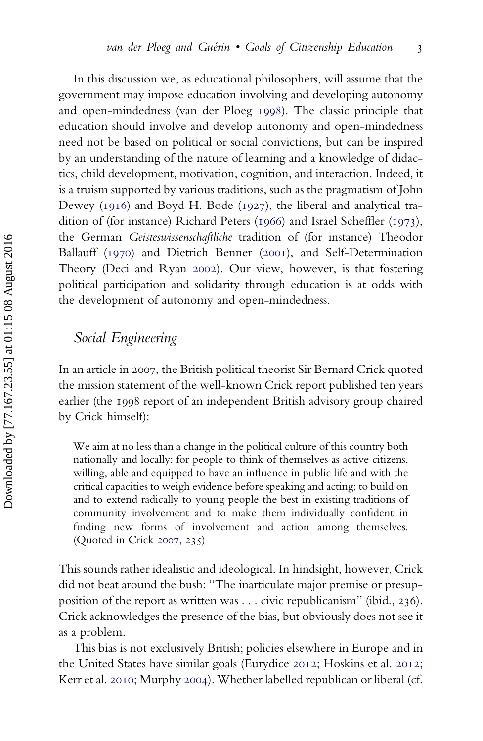<span id="page-3-0"></span>In this discussion we, as educational philosophers, will assume that the government may impose education involving and developing autonomy and open-mindedness (van der Ploeg 1998). The classic principle that education should involve and develop autonomy and open-mindedness need not be based on political or social convictions, but can be inspired by an understanding of the nature of learning and a knowledge of didactics, child development, motivation, cognition, and interaction. Indeed, it is a truism supported by various traditions, such as the pragmatism of John Dewey ( $1916$ ) and Boyd H. Bode ( $1927$ ), the liberal and analytical tradition of (for instance) Richard Peters (1966) and Israel Scheffler (1973), the German Geisteswissenschaftliche tradition of (for instance) Theodor Ballauff (1970) and Dietrich Benner (2001), and Self-Determination Theory (Deci and Ryan 2002). Our view, however, is that fostering political participation and solidarity through education is at odds with the development of autonomy and open-mindedness.

#### Social Engineering

In an article in 2007, the British political theorist Sir Bernard Crick quoted the mission statement of the well-known Crick report published ten years earlier (the 1998 report of an independent British advisory group chaired by Crick himself):

We aim at no less than a change in the political culture of this country both nationally and locally: for people to think of themselves as active citizens, willing, able and equipped to have an influence in public life and with the critical capacities to weigh evidence before speaking and acting; to build on and to extend radically to young people the best in existing traditions of community involvement and to make them individually confident in finding new forms of involvement and action among themselves. (Quoted in Crick 2007, 235)

This sounds rather idealistic and ideological. In hindsight, however, Crick did not beat around the bush: "The inarticulate major premise or presupposition of the report as written was  $\dots$  civic republicanism" (ibid., 236). Crick acknowledges the presence of the bias, but obviously does not see it as a problem.

This bias is not exclusively British; policies elsewhere in Europe and in the United States have similar goals (Eurydice 2012; Hoskins et al. 2012; Kerr et al. 2010; Murphy 2004). Whether labelled republican or liberal (cf.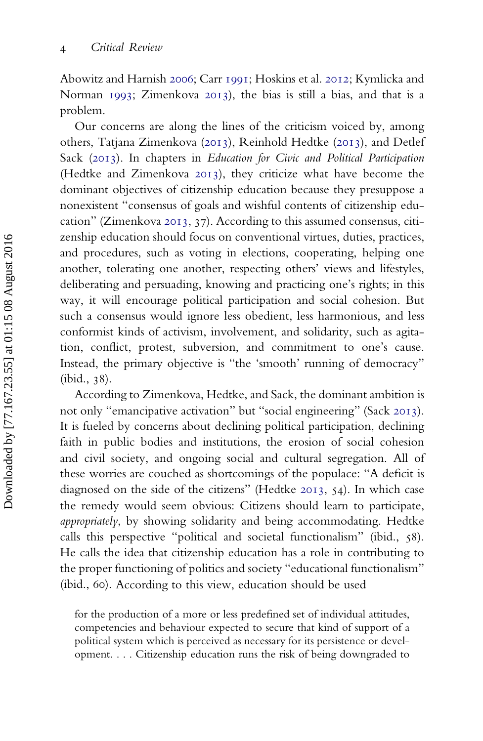<span id="page-4-0"></span>Abowitz and Harnish 2006; Carr 1991; Hoskins et al. 2012; Kymlicka and Norman 1993; Zimenkova 2013), the bias is still a bias, and that is a problem.

Our concerns are along the lines of the criticism voiced by, among others, Tatjana Zimenkova (2013), Reinhold Hedtke (2013), and Detlef Sack (2013). In chapters in Education for Civic and Political Participation (Hedtke and Zimenkova 2013), they criticize what have become the dominant objectives of citizenship education because they presuppose a nonexistent "consensus of goals and wishful contents of citizenship education" (Zimenkova 2013, 37). According to this assumed consensus, citizenship education should focus on conventional virtues, duties, practices, and procedures, such as voting in elections, cooperating, helping one another, tolerating one another, respecting others' views and lifestyles, deliberating and persuading, knowing and practicing one's rights; in this way, it will encourage political participation and social cohesion. But such a consensus would ignore less obedient, less harmonious, and less conformist kinds of activism, involvement, and solidarity, such as agitation, conflict, protest, subversion, and commitment to one's cause. Instead, the primary objective is "the 'smooth' running of democracy"  $(ibid., 38).$ 

According to Zimenkova, Hedtke, and Sack, the dominant ambition is not only "emancipative activation" but "social engineering" (Sack 2013). It is fueled by concerns about declining political participation, declining faith in public bodies and institutions, the erosion of social cohesion and civil society, and ongoing social and cultural segregation. All of these worries are couched as shortcomings of the populace: "A deficit is diagnosed on the side of the citizens" (Hedtke 2013, 54). In which case the remedy would seem obvious: Citizens should learn to participate, appropriately, by showing solidarity and being accommodating. Hedtke calls this perspective "political and societal functionalism" (ibid., 58). He calls the idea that citizenship education has a role in contributing to the proper functioning of politics and society "educational functionalism" (ibid., 60). According to this view, education should be used

for the production of a more or less predefined set of individual attitudes, competencies and behaviour expected to secure that kind of support of a political system which is perceived as necessary for its persistence or development. . . . Citizenship education runs the risk of being downgraded to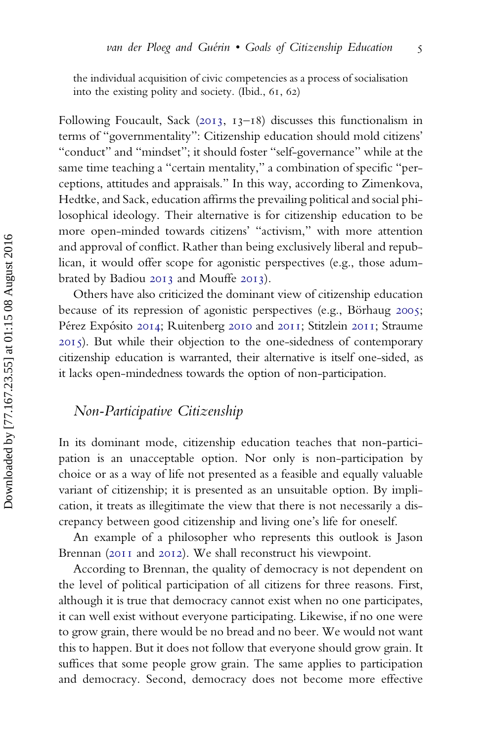<span id="page-5-0"></span>the individual acquisition of civic competencies as a process of socialisation into the existing polity and society. (Ibid.,  $61$ ,  $62$ )

Following Foucault, Sack (2013,  $13-18$ ) discusses this functionalism in terms of "governmentality": Citizenship education should mold citizens' "conduct" and "mindset"; it should foster "self-governance" while at the same time teaching a "certain mentality," a combination of specific "perceptions, attitudes and appraisals." In this way, according to Zimenkova, Hedtke, and Sack, education affirms the prevailing political and social philosophical ideology. Their alternative is for citizenship education to be more open-minded towards citizens' "activism," with more attention and approval of conflict. Rather than being exclusively liberal and republican, it would offer scope for agonistic perspectives (e.g., those adumbrated by Badiou 2013 and Mouffe 2013).

Others have also criticized the dominant view of citizenship education because of its repression of agonistic perspectives (e.g., Börhaug 2005; Pérez Expósito 2014; Ruitenberg 2010 and 2011; Stitzlein 2011; Straume ). But while their objection to the one-sidedness of contemporary citizenship education is warranted, their alternative is itself one-sided, as it lacks open-mindedness towards the option of non-participation.

## Non-Participative Citizenship

In its dominant mode, citizenship education teaches that non-participation is an unacceptable option. Nor only is non-participation by choice or as a way of life not presented as a feasible and equally valuable variant of citizenship; it is presented as an unsuitable option. By implication, it treats as illegitimate the view that there is not necessarily a discrepancy between good citizenship and living one's life for oneself.

An example of a philosopher who represents this outlook is Jason Brennan (2011 and 2012). We shall reconstruct his viewpoint.

According to Brennan, the quality of democracy is not dependent on the level of political participation of all citizens for three reasons. First, although it is true that democracy cannot exist when no one participates, it can well exist without everyone participating. Likewise, if no one were to grow grain, there would be no bread and no beer. We would not want this to happen. But it does not follow that everyone should grow grain. It suffices that some people grow grain. The same applies to participation and democracy. Second, democracy does not become more effective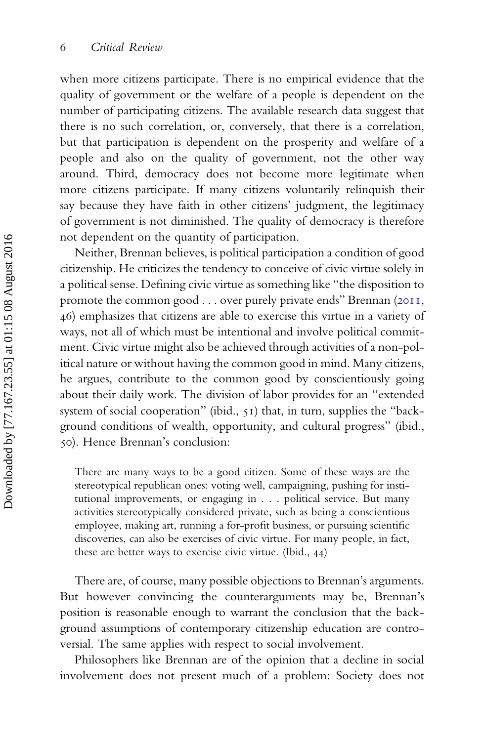when more citizens participate. There is no empirical evidence that the quality of government or the welfare of a people is dependent on the number of participating citizens. The available research data suggest that there is no such correlation, or, conversely, that there is a correlation, but that participation is dependent on the prosperity and welfare of a people and also on the quality of government, not the other way around. Third, democracy does not become more legitimate when more citizens participate. If many citizens voluntarily relinquish their say because they have faith in other citizens' judgment, the legitimacy of government is not diminished. The quality of democracy is therefore not dependent on the quantity of participation.

Neither, Brennan believes, is political participation a condition of good citizenship. He criticizes the tendency to conceive of civic virtue solely in a political sense. Defining civic virtue as something like "the disposition to promote the common good . . . over purely private ends" Brennan (2011, ) emphasizes that citizens are able to exercise this virtue in a variety of ways, not all of which must be intentional and involve political commitment. Civic virtue might also be achieved through activities of a non-political nature or without having the common good in mind. Many citizens, he argues, contribute to the common good by conscientiously going about their daily work. The division of labor provides for an "extended system of social cooperation" (ibid.,  $51$ ) that, in turn, supplies the "background conditions of wealth, opportunity, and cultural progress" (ibid., ). Hence Brennan's conclusion:

There are many ways to be a good citizen. Some of these ways are the stereotypical republican ones: voting well, campaigning, pushing for institutional improvements, or engaging in . . . political service. But many activities stereotypically considered private, such as being a conscientious employee, making art, running a for-profit business, or pursuing scientific discoveries, can also be exercises of civic virtue. For many people, in fact, these are better ways to exercise civic virtue. (Ibid.,  $44$ )

There are, of course, many possible objections to Brennan's arguments. But however convincing the counterarguments may be, Brennan's position is reasonable enough to warrant the conclusion that the background assumptions of contemporary citizenship education are controversial. The same applies with respect to social involvement.

Philosophers like Brennan are of the opinion that a decline in social involvement does not present much of a problem: Society does not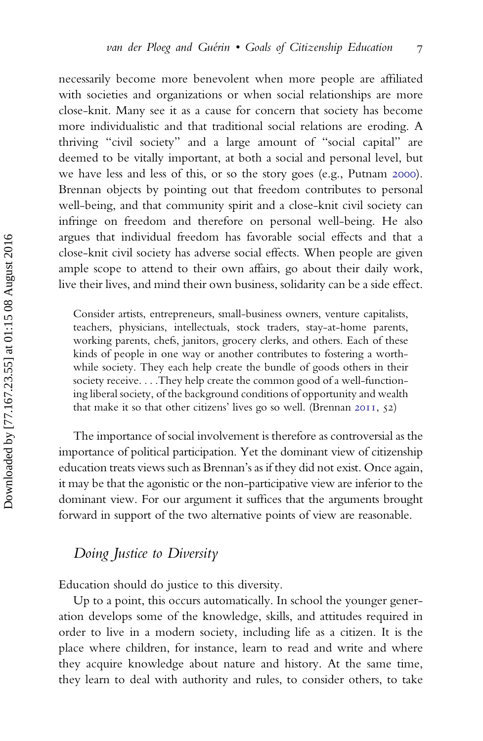<span id="page-7-0"></span>necessarily become more benevolent when more people are affiliated with societies and organizations or when social relationships are more close-knit. Many see it as a cause for concern that society has become more individualistic and that traditional social relations are eroding. A thriving "civil society" and a large amount of "social capital" are deemed to be vitally important, at both a social and personal level, but we have less and less of this, or so the story goes (e.g., Putnam 2000). Brennan objects by pointing out that freedom contributes to personal well-being, and that community spirit and a close-knit civil society can infringe on freedom and therefore on personal well-being. He also argues that individual freedom has favorable social effects and that a close-knit civil society has adverse social effects. When people are given ample scope to attend to their own affairs, go about their daily work, live their lives, and mind their own business, solidarity can be a side effect.

Consider artists, entrepreneurs, small-business owners, venture capitalists, teachers, physicians, intellectuals, stock traders, stay-at-home parents, working parents, chefs, janitors, grocery clerks, and others. Each of these kinds of people in one way or another contributes to fostering a worthwhile society. They each help create the bundle of goods others in their society receive. . . .They help create the common good of a well-functioning liberal society, of the background conditions of opportunity and wealth that make it so that other citizens' lives go so well. (Brennan 2011,  $52$ )

The importance of social involvement is therefore as controversial as the importance of political participation. Yet the dominant view of citizenship education treats views such as Brennan's as if they did not exist. Once again, it may be that the agonistic or the non-participative view are inferior to the dominant view. For our argument it suffices that the arguments brought forward in support of the two alternative points of view are reasonable.

#### Doing Justice to Diversity

Education should do justice to this diversity.

Up to a point, this occurs automatically. In school the younger generation develops some of the knowledge, skills, and attitudes required in order to live in a modern society, including life as a citizen. It is the place where children, for instance, learn to read and write and where they acquire knowledge about nature and history. At the same time, they learn to deal with authority and rules, to consider others, to take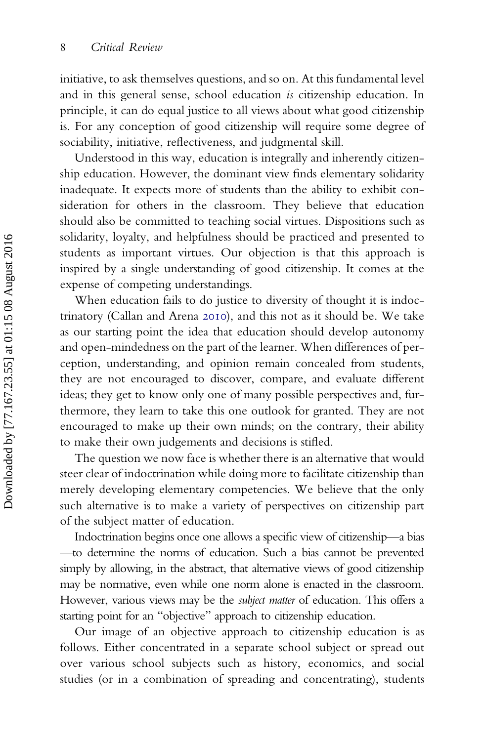<span id="page-8-0"></span>initiative, to ask themselves questions, and so on. At this fundamental level and in this general sense, school education is citizenship education. In principle, it can do equal justice to all views about what good citizenship is. For any conception of good citizenship will require some degree of sociability, initiative, reflectiveness, and judgmental skill.

Understood in this way, education is integrally and inherently citizenship education. However, the dominant view finds elementary solidarity inadequate. It expects more of students than the ability to exhibit consideration for others in the classroom. They believe that education should also be committed to teaching social virtues. Dispositions such as solidarity, loyalty, and helpfulness should be practiced and presented to students as important virtues. Our objection is that this approach is inspired by a single understanding of good citizenship. It comes at the expense of competing understandings.

When education fails to do justice to diversity of thought it is indoctrinatory (Callan and Arena 2010), and this not as it should be. We take as our starting point the idea that education should develop autonomy and open-mindedness on the part of the learner. When differences of perception, understanding, and opinion remain concealed from students, they are not encouraged to discover, compare, and evaluate different ideas; they get to know only one of many possible perspectives and, furthermore, they learn to take this one outlook for granted. They are not encouraged to make up their own minds; on the contrary, their ability to make their own judgements and decisions is stifled.

The question we now face is whether there is an alternative that would steer clear of indoctrination while doing more to facilitate citizenship than merely developing elementary competencies. We believe that the only such alternative is to make a variety of perspectives on citizenship part of the subject matter of education.

Indoctrination begins once one allows a specific view of citizenship—a bias —to determine the norms of education. Such a bias cannot be prevented simply by allowing, in the abstract, that alternative views of good citizenship may be normative, even while one norm alone is enacted in the classroom. However, various views may be the *subject matter* of education. This offers a starting point for an "objective" approach to citizenship education.

Our image of an objective approach to citizenship education is as follows. Either concentrated in a separate school subject or spread out over various school subjects such as history, economics, and social studies (or in a combination of spreading and concentrating), students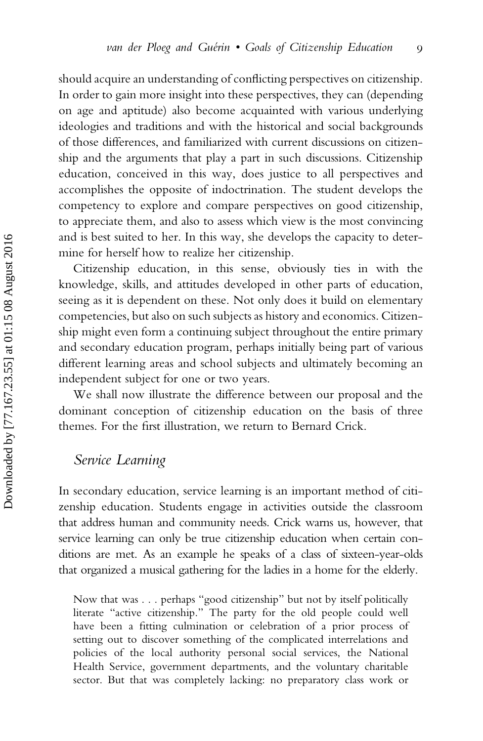should acquire an understanding of conflicting perspectives on citizenship. In order to gain more insight into these perspectives, they can (depending on age and aptitude) also become acquainted with various underlying ideologies and traditions and with the historical and social backgrounds of those differences, and familiarized with current discussions on citizenship and the arguments that play a part in such discussions. Citizenship education, conceived in this way, does justice to all perspectives and accomplishes the opposite of indoctrination. The student develops the competency to explore and compare perspectives on good citizenship, to appreciate them, and also to assess which view is the most convincing and is best suited to her. In this way, she develops the capacity to determine for herself how to realize her citizenship.

Citizenship education, in this sense, obviously ties in with the knowledge, skills, and attitudes developed in other parts of education, seeing as it is dependent on these. Not only does it build on elementary competencies, but also on such subjects as history and economics. Citizenship might even form a continuing subject throughout the entire primary and secondary education program, perhaps initially being part of various different learning areas and school subjects and ultimately becoming an independent subject for one or two years.

We shall now illustrate the difference between our proposal and the dominant conception of citizenship education on the basis of three themes. For the first illustration, we return to Bernard Crick.

### Service Learning

In secondary education, service learning is an important method of citizenship education. Students engage in activities outside the classroom that address human and community needs. Crick warns us, however, that service learning can only be true citizenship education when certain conditions are met. As an example he speaks of a class of sixteen-year-olds that organized a musical gathering for the ladies in a home for the elderly.

Now that was . . . perhaps "good citizenship" but not by itself politically literate "active citizenship." The party for the old people could well have been a fitting culmination or celebration of a prior process of setting out to discover something of the complicated interrelations and policies of the local authority personal social services, the National Health Service, government departments, and the voluntary charitable sector. But that was completely lacking: no preparatory class work or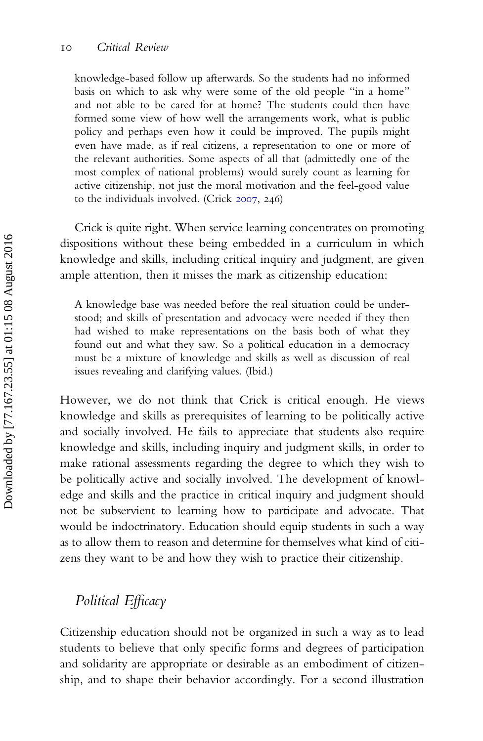knowledge-based follow up afterwards. So the students had no informed basis on which to ask why were some of the old people "in a home" and not able to be cared for at home? The students could then have formed some view of how well the arrangements work, what is public policy and perhaps even how it could be improved. The pupils might even have made, as if real citizens, a representation to one or more of the relevant authorities. Some aspects of all that (admittedly one of the most complex of national problems) would surely count as learning for active citizenship, not just the moral motivation and the feel-good value to the individuals involved. (Crick  $2007, 246$ )

Crick is quite right. When service learning concentrates on promoting dispositions without these being embedded in a curriculum in which knowledge and skills, including critical inquiry and judgment, are given ample attention, then it misses the mark as citizenship education:

A knowledge base was needed before the real situation could be understood; and skills of presentation and advocacy were needed if they then had wished to make representations on the basis both of what they found out and what they saw. So a political education in a democracy must be a mixture of knowledge and skills as well as discussion of real issues revealing and clarifying values. (Ibid.)

However, we do not think that Crick is critical enough. He views knowledge and skills as prerequisites of learning to be politically active and socially involved. He fails to appreciate that students also require knowledge and skills, including inquiry and judgment skills, in order to make rational assessments regarding the degree to which they wish to be politically active and socially involved. The development of knowledge and skills and the practice in critical inquiry and judgment should not be subservient to learning how to participate and advocate. That would be indoctrinatory. Education should equip students in such a way as to allow them to reason and determine for themselves what kind of citizens they want to be and how they wish to practice their citizenship.

## Political Efficacy

Citizenship education should not be organized in such a way as to lead students to believe that only specific forms and degrees of participation and solidarity are appropriate or desirable as an embodiment of citizenship, and to shape their behavior accordingly. For a second illustration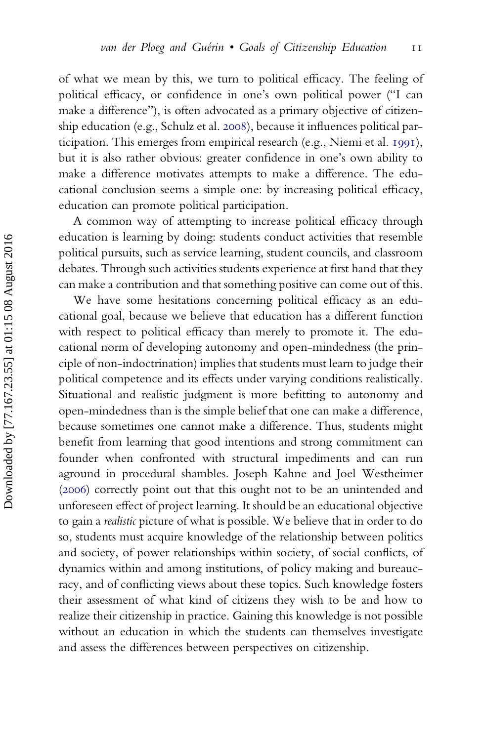<span id="page-11-0"></span>of what we mean by this, we turn to political efficacy. The feeling of political efficacy, or confidence in one's own political power ("I can make a difference"), is often advocated as a primary objective of citizenship education (e.g., Schulz et al. 2008), because it influences political participation. This emerges from empirical research (e.g., Niemi et al. 1991), but it is also rather obvious: greater confidence in one's own ability to make a difference motivates attempts to make a difference. The educational conclusion seems a simple one: by increasing political efficacy, education can promote political participation.

A common way of attempting to increase political efficacy through education is learning by doing: students conduct activities that resemble political pursuits, such as service learning, student councils, and classroom debates. Through such activities students experience at first hand that they can make a contribution and that something positive can come out of this.

We have some hesitations concerning political efficacy as an educational goal, because we believe that education has a different function with respect to political efficacy than merely to promote it. The educational norm of developing autonomy and open-mindedness (the principle of non-indoctrination) implies that students must learn to judge their political competence and its effects under varying conditions realistically. Situational and realistic judgment is more befitting to autonomy and open-mindedness than is the simple belief that one can make a difference, because sometimes one cannot make a difference. Thus, students might benefit from learning that good intentions and strong commitment can founder when confronted with structural impediments and can run aground in procedural shambles. Joseph Kahne and Joel Westheimer (2006) correctly point out that this ought not to be an unintended and unforeseen effect of project learning. It should be an educational objective to gain a realistic picture of what is possible. We believe that in order to do so, students must acquire knowledge of the relationship between politics and society, of power relationships within society, of social conflicts, of dynamics within and among institutions, of policy making and bureaucracy, and of conflicting views about these topics. Such knowledge fosters their assessment of what kind of citizens they wish to be and how to realize their citizenship in practice. Gaining this knowledge is not possible without an education in which the students can themselves investigate and assess the differences between perspectives on citizenship.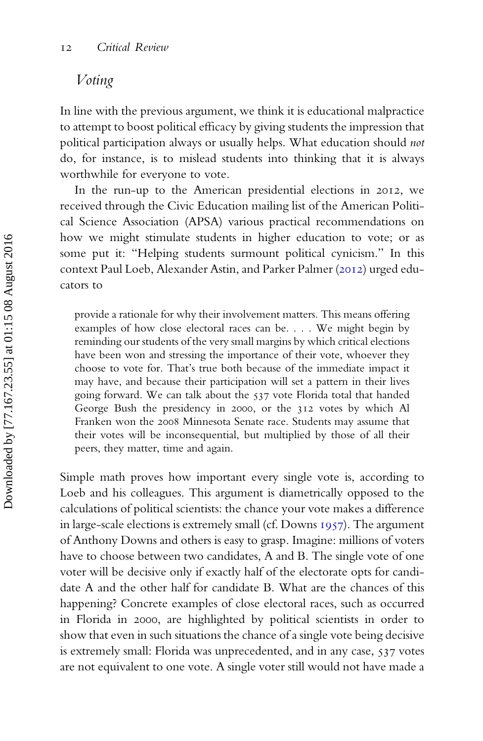## <span id="page-12-0"></span>Voting

In line with the previous argument, we think it is educational malpractice to attempt to boost political efficacy by giving students the impression that political participation always or usually helps. What education should not do, for instance, is to mislead students into thinking that it is always worthwhile for everyone to vote.

In the run-up to the American presidential elections in 2012, we received through the Civic Education mailing list of the American Political Science Association (APSA) various practical recommendations on how we might stimulate students in higher education to vote; or as some put it: "Helping students surmount political cynicism." In this context Paul Loeb, Alexander Astin, and Parker Palmer (2012) urged educators to

provide a rationale for why their involvement matters. This means offering examples of how close electoral races can be. . . . We might begin by reminding our students of the very small margins by which critical elections have been won and stressing the importance of their vote, whoever they choose to vote for. That's true both because of the immediate impact it may have, and because their participation will set a pattern in their lives going forward. We can talk about the  $537$  vote Florida total that handed George Bush the presidency in 2000, or the  $312$  votes by which Al Franken won the 2008 Minnesota Senate race. Students may assume that their votes will be inconsequential, but multiplied by those of all their peers, they matter, time and again.

Simple math proves how important every single vote is, according to Loeb and his colleagues. This argument is diametrically opposed to the calculations of political scientists: the chance your vote makes a difference in large-scale elections is extremely small (cf. Downs  $1957$ ). The argument of Anthony Downs and others is easy to grasp. Imagine: millions of voters have to choose between two candidates, A and B. The single vote of one voter will be decisive only if exactly half of the electorate opts for candidate A and the other half for candidate B. What are the chances of this happening? Concrete examples of close electoral races, such as occurred in Florida in 2000, are highlighted by political scientists in order to show that even in such situations the chance of a single vote being decisive is extremely small: Florida was unprecedented, and in any case, 537 votes are not equivalent to one vote. A single voter still would not have made a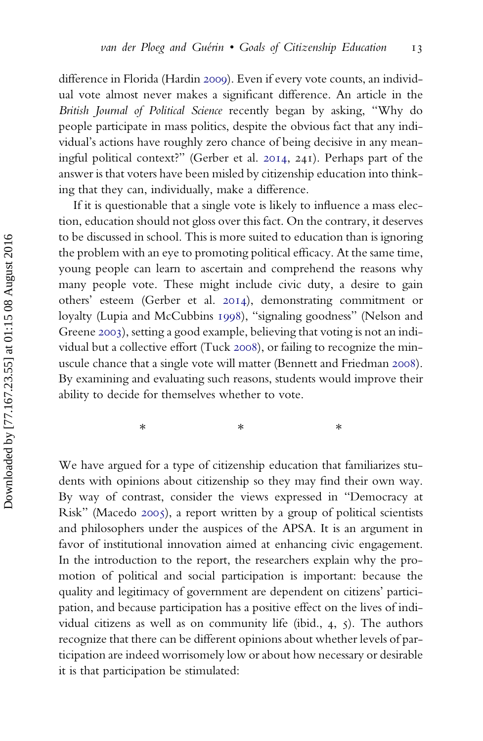<span id="page-13-0"></span>difference in Florida (Hardin 2009). Even if every vote counts, an individual vote almost never makes a significant difference. An article in the British Journal of Political Science recently began by asking, "Why do people participate in mass politics, despite the obvious fact that any individual's actions have roughly zero chance of being decisive in any meaningful political context?" (Gerber et al. 2014, 241). Perhaps part of the answer is that voters have been misled by citizenship education into thinking that they can, individually, make a difference.

If it is questionable that a single vote is likely to influence a mass election, education should not gloss over this fact. On the contrary, it deserves to be discussed in school. This is more suited to education than is ignoring the problem with an eye to promoting political efficacy. At the same time, young people can learn to ascertain and comprehend the reasons why many people vote. These might include civic duty, a desire to gain others' esteem (Gerber et al. 2014), demonstrating commitment or loyalty (Lupia and McCubbins 1998), "signaling goodness" (Nelson and Greene 2003), setting a good example, believing that voting is not an individual but a collective effort (Tuck 2008), or failing to recognize the minuscule chance that a single vote will matter (Bennett and Friedman 2008). By examining and evaluating such reasons, students would improve their ability to decide for themselves whether to vote.

∗∗∗

We have argued for a type of citizenship education that familiarizes students with opinions about citizenship so they may find their own way. By way of contrast, consider the views expressed in "Democracy at Risk" (Macedo 2005), a report written by a group of political scientists and philosophers under the auspices of the APSA. It is an argument in favor of institutional innovation aimed at enhancing civic engagement. In the introduction to the report, the researchers explain why the promotion of political and social participation is important: because the quality and legitimacy of government are dependent on citizens' participation, and because participation has a positive effect on the lives of individual citizens as well as on community life (ibid.,  $4$ ,  $5$ ). The authors recognize that there can be different opinions about whether levels of participation are indeed worrisomely low or about how necessary or desirable it is that participation be stimulated: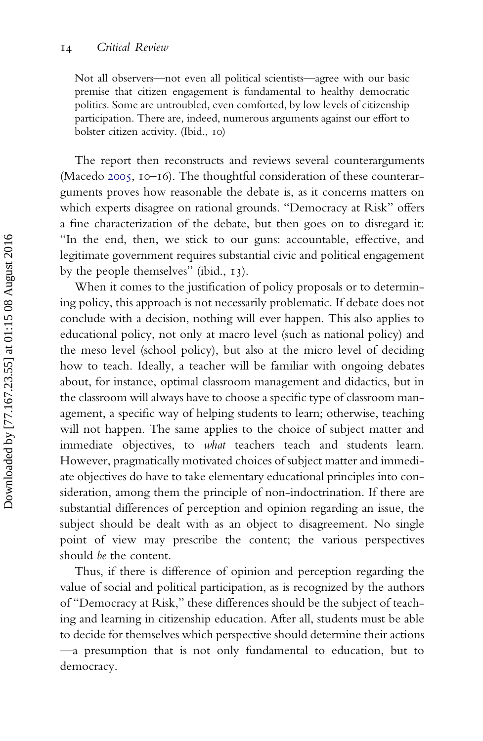Not all observers—not even all political scientists—agree with our basic premise that citizen engagement is fundamental to healthy democratic politics. Some are untroubled, even comforted, by low levels of citizenship participation. There are, indeed, numerous arguments against our effort to bolster citizen activity. (Ibid., 10)

The report then reconstructs and reviews several counterarguments (Macedo 2005,  $10-16$ ). The thoughtful consideration of these counterarguments proves how reasonable the debate is, as it concerns matters on which experts disagree on rational grounds. "Democracy at Risk" offers a fine characterization of the debate, but then goes on to disregard it: "In the end, then, we stick to our guns: accountable, effective, and legitimate government requires substantial civic and political engagement by the people themselves" (ibid.,  $13$ ).

When it comes to the justification of policy proposals or to determining policy, this approach is not necessarily problematic. If debate does not conclude with a decision, nothing will ever happen. This also applies to educational policy, not only at macro level (such as national policy) and the meso level (school policy), but also at the micro level of deciding how to teach. Ideally, a teacher will be familiar with ongoing debates about, for instance, optimal classroom management and didactics, but in the classroom will always have to choose a specific type of classroom management, a specific way of helping students to learn; otherwise, teaching will not happen. The same applies to the choice of subject matter and immediate objectives, to what teachers teach and students learn. However, pragmatically motivated choices of subject matter and immediate objectives do have to take elementary educational principles into consideration, among them the principle of non-indoctrination. If there are substantial differences of perception and opinion regarding an issue, the subject should be dealt with as an object to disagreement. No single point of view may prescribe the content; the various perspectives should be the content.

Thus, if there is difference of opinion and perception regarding the value of social and political participation, as is recognized by the authors of "Democracy at Risk," these differences should be the subject of teaching and learning in citizenship education. After all, students must be able to decide for themselves which perspective should determine their actions —a presumption that is not only fundamental to education, but to democracy.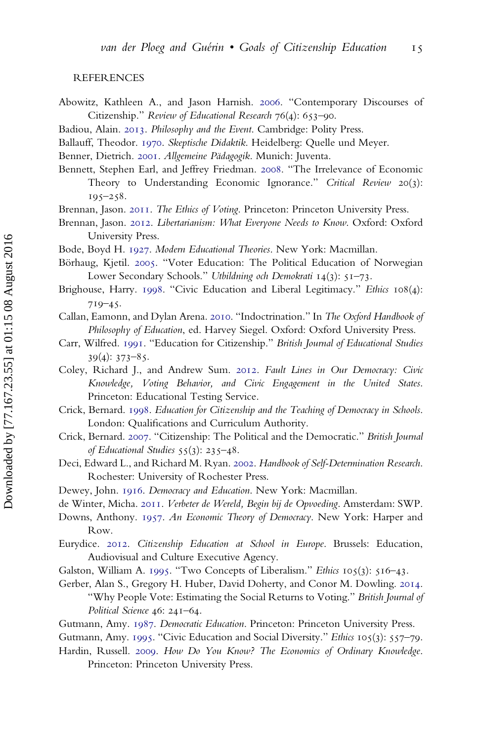<span id="page-15-0"></span>**REFERENCES** 

- Abowitz, Kathleen A., and Jason Harnish. 2006. "Contemporary Discourses of Citizenship." Review of Educational Research  $76(4)$ : 653–90.
- Badiou, Alain. 2013. Philosophy and the Event. Cambridge: Polity Press.
- Ballauff, Theodor. 1970. Skeptische Didaktik. Heidelberg: Quelle und Meyer.
- Benner, Dietrich. 2001. Allgemeine Pädagogik. Munich: Juventa.
- Bennett, Stephen Earl, and Jeffrey Friedman. 2008. "The Irrelevance of Economic Theory to Understanding Economic Ignorance." Critical Review 20(3):  $195 - 258$ .
- Brennan, Jason. 2011. The Ethics of Voting. Princeton: Princeton University Press.
- Brennan, Jason. 2012. Libertarianism: What Everyone Needs to Know. Oxford: Oxford University Press.

Bode, Boyd H. 1927. Modern Educational Theories. New York: Macmillan.

- Börhaug, Kjetil. 2005. "Voter Education: The Political Education of Norwegian Lower Secondary Schools." Utbildning och Demokrati  $14(3)$ : 51–73.
- Brighouse, Harry. 1998. "Civic Education and Liberal Legitimacy." Ethics 108(4):  $719 - 45.$
- Callan, Eamonn, and Dylan Arena. 2010. "Indoctrination." In The Oxford Handbook of Philosophy of Education, ed. Harvey Siegel. Oxford: Oxford University Press.
- Carr, Wilfred. 1991. "Education for Citizenship." British Journal of Educational Studies  $39(4): 373 - 85.$
- Coley, Richard J., and Andrew Sum. 2012. Fault Lines in Our Democracy: Civic Knowledge, Voting Behavior, and Civic Engagement in the United States. Princeton: Educational Testing Service.
- Crick, Bernard. 1998. Education for Citizenship and the Teaching of Democracy in Schools. London: Qualifications and Curriculum Authority.
- Crick, Bernard. 2007. "Citizenship: The Political and the Democratic." British Journal of Educational Studies  $55(3)$ : 235-48.
- Deci, Edward L., and Richard M. Ryan. 2002. Handbook of Self-Determination Research. Rochester: University of Rochester Press.
- Dewey, John. 1916. Democracy and Education. New York: Macmillan.
- de Winter, Micha. 2011. Verbeter de Wereld, Begin bij de Opvoeding. Amsterdam: SWP.
- Downs, Anthony. 1957. An Economic Theory of Democracy. New York: Harper and Row.
- Eurydice. 2012. Citizenship Education at School in Europe. Brussels: Education, Audiovisual and Culture Executive Agency.
- Galston, William A. 1995. "Two Concepts of Liberalism." Ethics  $105(3)$ : 516-43.
- Gerber, Alan S., Gregory H. Huber, David Doherty, and Conor M. Dowling. 2014. "Why People Vote: Estimating the Social Returns to Voting." British Journal of Political Science  $46: 241 - 64$ .
- Gutmann, Amy. 1987. Democratic Education. Princeton: Princeton University Press.
- Gutmann, Amy. 1995. "Civic Education and Social Diversity." Ethics 105(3): 557-79.
- Hardin, Russell. 2009. How Do You Know? The Economics of Ordinary Knowledge. Princeton: Princeton University Press.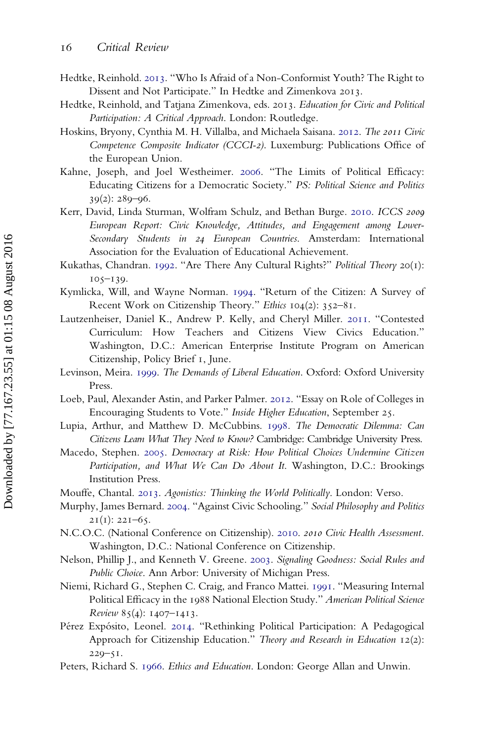- <span id="page-16-0"></span>Hedtke, Reinhold. 2013. "Who Is Afraid of a Non-Conformist Youth? The Right to Dissent and Not Participate." In Hedtke and Zimenkova 2013.
- Hedtke, Reinhold, and Tatjana Zimenkova, eds. 2013. Education for Civic and Political Participation: A Critical Approach. London: Routledge.
- Hoskins, Bryony, Cynthia M. H. Villalba, and Michaela Saisana. 2012. The 2011 Civic Competence Composite Indicator (CCCI-2). Luxemburg: Publications Office of the European Union.
- Kahne, Joseph, and Joel Westheimer. 2006. "The Limits of Political Efficacy: Educating Citizens for a Democratic Society." PS: Political Science and Politics  $39(2): 289 - 96.$
- Kerr, David, Linda Sturman, Wolfram Schulz, and Bethan Burge. 2010. ICCS 2009 European Report: Civic Knowledge, Attitudes, and Engagement among Lower-Secondary Students in 24 European Countries. Amsterdam: International Association for the Evaluation of Educational Achievement.
- Kukathas, Chandran. 1992. "Are There Any Cultural Rights?" Political Theory 20(1):  $105 - 139.$
- Kymlicka, Will, and Wayne Norman. 1994. "Return of the Citizen: A Survey of Recent Work on Citizenship Theory." Ethics 104(2): 352-81.
- Lautzenheiser, Daniel K., Andrew P. Kelly, and Cheryl Miller. 2011. "Contested Curriculum: How Teachers and Citizens View Civics Education." Washington, D.C.: American Enterprise Institute Program on American Citizenship, Policy Brief 1, June.
- Levinson, Meira. 1999. The Demands of Liberal Education. Oxford: Oxford University Press.
- Loeb, Paul, Alexander Astin, and Parker Palmer. 2012. "Essay on Role of Colleges in Encouraging Students to Vote." Inside Higher Education, September 25.
- Lupia, Arthur, and Matthew D. McCubbins. 1998. The Democratic Dilemma: Can Citizens Learn What They Need to Know? Cambridge: Cambridge University Press.
- Macedo, Stephen. 2005. Democracy at Risk: How Political Choices Undermine Citizen Participation, and What We Can Do About It. Washington, D.C.: Brookings Institution Press.
- Mouffe, Chantal. 2013. Agonistics: Thinking the World Politically. London: Verso.
- Murphy, James Bernard. 2004. "Against Civic Schooling." Social Philosophy and Politics  $2I(I)$ :  $22I-65$ .
- N.C.O.C. (National Conference on Citizenship). 2010. 2010 Civic Health Assessment. Washington, D.C.: National Conference on Citizenship.
- Nelson, Phillip J., and Kenneth V. Greene. 2003. Signaling Goodness: Social Rules and Public Choice. Ann Arbor: University of Michigan Press.
- Niemi, Richard G., Stephen C. Craig, and Franco Mattei. 1991. "Measuring Internal Political Efficacy in the 1988 National Election Study." American Political Science Review  $85(4)$ : 1407-1413.
- Pérez Expósito, Leonel. 2014. "Rethinking Political Participation: A Pedagogical Approach for Citizenship Education." Theory and Research in Education 12(2):  $229 - 51$ .
- Peters, Richard S. 1966. Ethics and Education. London: George Allan and Unwin.